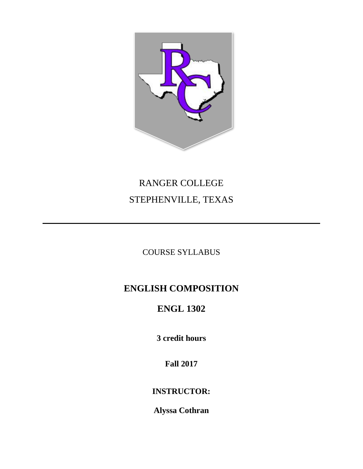

# RANGER COLLEGE STEPHENVILLE, TEXAS

### COURSE SYLLABUS

## **ENGLISH COMPOSITION**

# **ENGL 1302**

**3 credit hours**

**Fall 2017**

### **INSTRUCTOR:**

**Alyssa Cothran**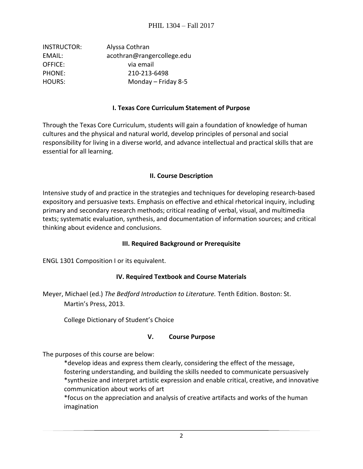| INSTRUCTOR:   | Alyssa Cothran             |
|---------------|----------------------------|
| EMAIL:        | acothran@rangercollege.edu |
| OFFICE:       | via email                  |
| <b>PHONE:</b> | 210-213-6498               |
| <b>HOURS:</b> | Monday $-$ Friday 8-5      |

#### **I. Texas Core Curriculum Statement of Purpose**

Through the Texas Core Curriculum, students will gain a foundation of knowledge of human cultures and the physical and natural world, develop principles of personal and social responsibility for living in a diverse world, and advance intellectual and practical skills that are essential for all learning.

#### **II. Course Description**

Intensive study of and practice in the strategies and techniques for developing research-based expository and persuasive texts. Emphasis on effective and ethical rhetorical inquiry, including primary and secondary research methods; critical reading of verbal, visual, and multimedia texts; systematic evaluation, synthesis, and documentation of information sources; and critical thinking about evidence and conclusions.

#### **III. Required Background or Prerequisite**

ENGL 1301 Composition I or its equivalent.

#### **IV. Required Textbook and Course Materials**

Meyer, Michael (ed.) *The Bedford Introduction to Literature.* Tenth Edition. Boston: St. Martin's Press, 2013.

College Dictionary of Student's Choice

#### **V. Course Purpose**

The purposes of this course are below:

\*develop ideas and express them clearly, considering the effect of the message, fostering understanding, and building the skills needed to communicate persuasively \*synthesize and interpret artistic expression and enable critical, creative, and innovative communication about works of art

\*focus on the appreciation and analysis of creative artifacts and works of the human imagination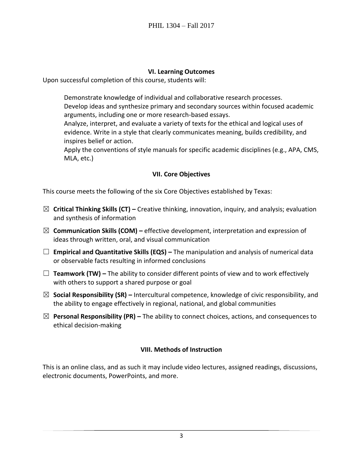#### **VI. Learning Outcomes**

Upon successful completion of this course, students will:

Demonstrate knowledge of individual and collaborative research processes. Develop ideas and synthesize primary and secondary sources within focused academic arguments, including one or more research-based essays.

Analyze, interpret, and evaluate a variety of texts for the ethical and logical uses of evidence. Write in a style that clearly communicates meaning, builds credibility, and inspires belief or action.

Apply the conventions of style manuals for specific academic disciplines (e.g., APA, CMS, MLA, etc.)

#### **VII. Core Objectives**

This course meets the following of the six Core Objectives established by Texas:

- ☒ **Critical Thinking Skills (CT) –** Creative thinking, innovation, inquiry, and analysis; evaluation and synthesis of information
- ☒ **Communication Skills (COM) –** effective development, interpretation and expression of ideas through written, oral, and visual communication
- ☐ **Empirical and Quantitative Skills (EQS) –** The manipulation and analysis of numerical data or observable facts resulting in informed conclusions
- ☐ **Teamwork (TW) –** The ability to consider different points of view and to work effectively with others to support a shared purpose or goal
- ☒ **Social Responsibility (SR) –** Intercultural competence, knowledge of civic responsibility, and the ability to engage effectively in regional, national, and global communities
- ☒ **Personal Responsibility (PR) –** The ability to connect choices, actions, and consequences to ethical decision-making

#### **VIII. Methods of Instruction**

This is an online class, and as such it may include video lectures, assigned readings, discussions, electronic documents, PowerPoints, and more.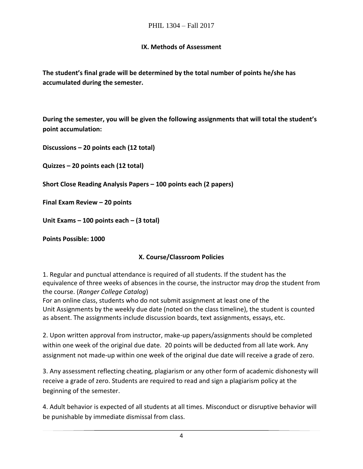#### **IX. Methods of Assessment**

**The student's final grade will be determined by the total number of points he/she has accumulated during the semester.** 

**During the semester, you will be given the following assignments that will total the student's point accumulation:**

**Discussions – 20 points each (12 total)**

**Quizzes – 20 points each (12 total)**

**Short Close Reading Analysis Papers – 100 points each (2 papers)**

**Final Exam Review – 20 points** 

**Unit Exams – 100 points each – (3 total)**

**Points Possible: 1000**

#### **X. Course/Classroom Policies**

1. Regular and punctual attendance is required of all students. If the student has the equivalence of three weeks of absences in the course, the instructor may drop the student from the course. (*Ranger College Catalog*)

For an online class, students who do not submit assignment at least one of the Unit Assignments by the weekly due date (noted on the class timeline), the student is counted as absent. The assignments include discussion boards, text assignments, essays, etc.

2. Upon written approval from instructor, make-up papers/assignments should be completed within one week of the original due date. 20 points will be deducted from all late work. Any assignment not made-up within one week of the original due date will receive a grade of zero.

3. Any assessment reflecting cheating, plagiarism or any other form of academic dishonesty will receive a grade of zero. Students are required to read and sign a plagiarism policy at the beginning of the semester.

4. Adult behavior is expected of all students at all times. Misconduct or disruptive behavior will be punishable by immediate dismissal from class.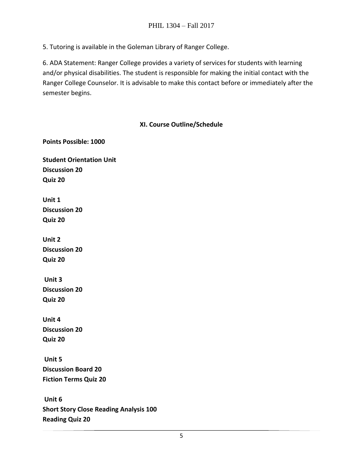5. Tutoring is available in the Goleman Library of Ranger College.

6. ADA Statement: Ranger College provides a variety of services for students with learning and/or physical disabilities. The student is responsible for making the initial contact with the Ranger College Counselor. It is advisable to make this contact before or immediately after the semester begins.

#### **XI. Course Outline/Schedule**

**Student Orientation Unit Discussion 20 Quiz 20**

**Points Possible: 1000**

**Unit 1 Discussion 20 Quiz 20**

**Unit 2 Discussion 20 Quiz 20**

**Unit 3 Discussion 20 Quiz 20**

**Unit 4 Discussion 20 Quiz 20**

**Unit 5 Discussion Board 20 Fiction Terms Quiz 20**

**Unit 6 Short Story Close Reading Analysis 100 Reading Quiz 20**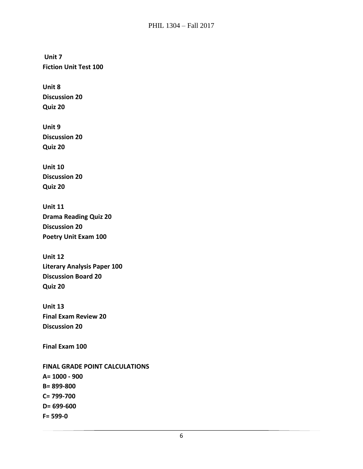**Unit 7 Fiction Unit Test 100**

**Unit 8 Discussion 20 Quiz 20**

**Unit 9 Discussion 20 Quiz 20**

**Unit 10 Discussion 20 Quiz 20**

**Unit 11 Drama Reading Quiz 20 Discussion 20 Poetry Unit Exam 100**

**Unit 12 Literary Analysis Paper 100 Discussion Board 20 Quiz 20**

**Unit 13 Final Exam Review 20 Discussion 20**

**Final Exam 100**

**FINAL GRADE POINT CALCULATIONS A= 1000 - 900 B= 899-800 C= 799-700 D= 699-600 F= 599-0**